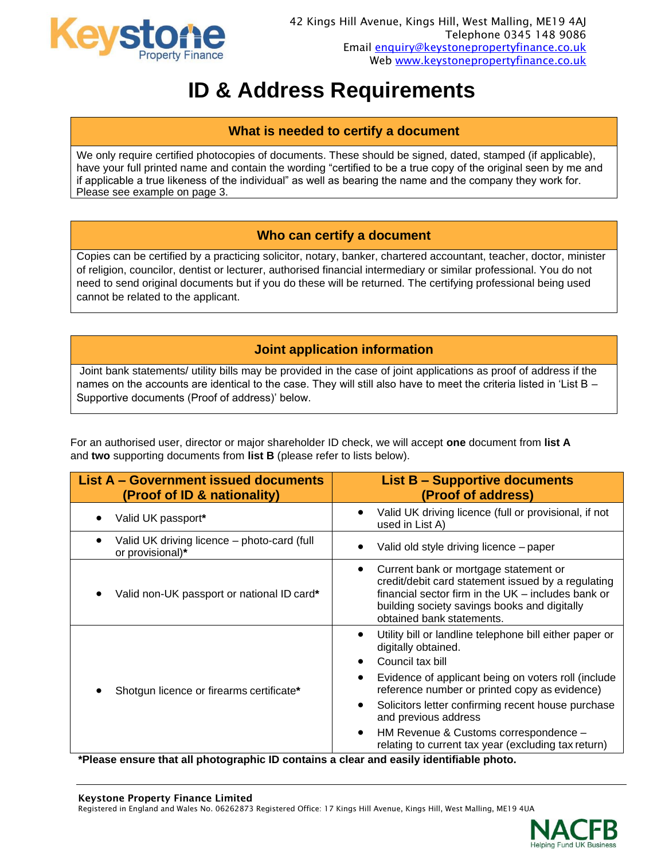

# **ID & Address Requirements**

## **What is needed to certify a document**

We only require certified photocopies of documents. These should be signed, dated, stamped (if applicable), have your full printed name and contain the wording "certified to be a true copy of the original seen by me and if applicable a true likeness of the individual" as well as bearing the name and the company they work for. Please see example on page 3.

# **Who can certify a document**

Copies can be certified by a practicing solicitor, notary, banker, chartered accountant, teacher, doctor, minister of religion, councilor, dentist or lecturer, authorised financial intermediary or similar professional. You do not need to send original documents but if you do these will be returned. The certifying professional being used cannot be related to the applicant.

# **Joint application information**

Joint bank statements/ utility bills may be provided in the case of joint applications as proof of address if the names on the accounts are identical to the case. They will still also have to meet the criteria listed in 'List B – Supportive documents (Proof of address)' below.

For an authorised user, director or major shareholder ID check, we will accept **one** document from **list A** and **two** supporting documents from **list B** (please refer to lists below).

| <b>List A - Government issued documents</b><br>(Proof of ID & nationality) | <b>List B - Supportive documents</b><br>(Proof of address)                                                                                                                                                                                                                                                                                                                                         |
|----------------------------------------------------------------------------|----------------------------------------------------------------------------------------------------------------------------------------------------------------------------------------------------------------------------------------------------------------------------------------------------------------------------------------------------------------------------------------------------|
| Valid UK passport*                                                         | Valid UK driving licence (full or provisional, if not<br>used in List A)                                                                                                                                                                                                                                                                                                                           |
| Valid UK driving licence - photo-card (full<br>or provisional)*            | Valid old style driving licence - paper                                                                                                                                                                                                                                                                                                                                                            |
| Valid non-UK passport or national ID card*                                 | Current bank or mortgage statement or<br>credit/debit card statement issued by a regulating<br>financial sector firm in the UK – includes bank or<br>building society savings books and digitally<br>obtained bank statements.                                                                                                                                                                     |
| Shotgun licence or firearms certificate*<br>$\cdots$<br>.<br>.             | Utility bill or landline telephone bill either paper or<br>digitally obtained.<br>Council tax bill<br>Evidence of applicant being on voters roll (include<br>reference number or printed copy as evidence)<br>Solicitors letter confirming recent house purchase<br>and previous address<br>HM Revenue & Customs correspondence -<br>٠<br>relating to current tax year (excluding tax return)<br>. |

**\*Please ensure that all photographic ID contains a clear and easily identifiable photo.**

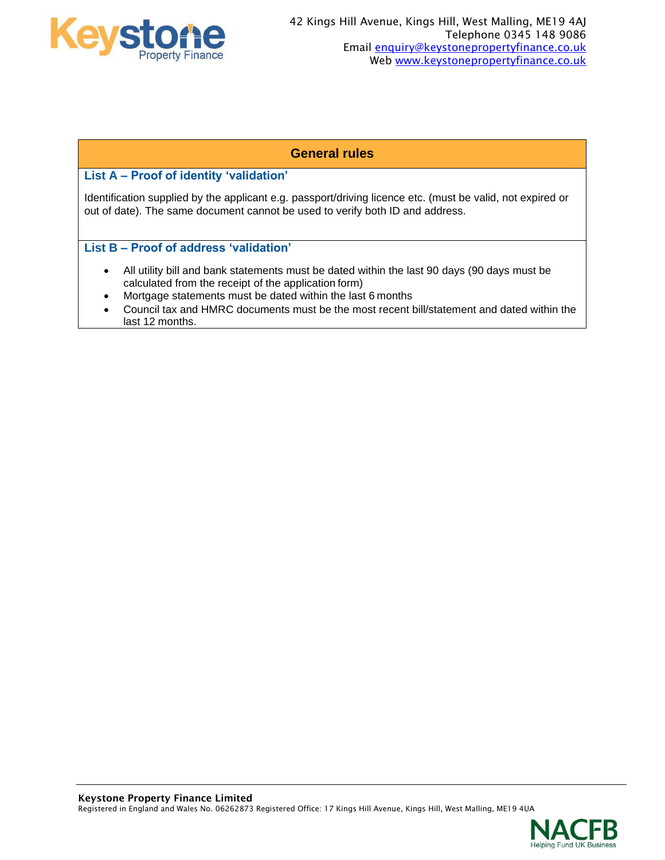

## **General rules**

### **List A – Proof of identity 'validation'**

Identification supplied by the applicant e.g. passport/driving licence etc. (must be valid, not expired or out of date). The same document cannot be used to verify both ID and address.

#### **List B – Proof of address 'validation'**

- All utility bill and bank statements must be dated within the last 90 days (90 days must be calculated from the receipt of the application form)
- Mortgage statements must be dated within the last 6 months
- Council tax and HMRC documents must be the most recent bill/statement and dated within the last 12 months.